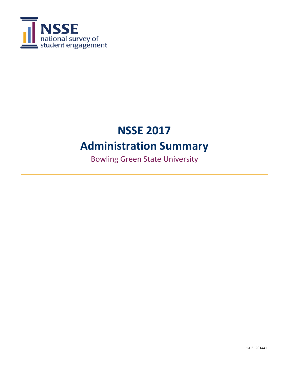

# **NSSE 2017 Administration Summary**

Bowling Green State University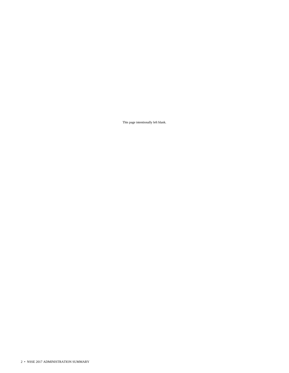This page intentionally left blank.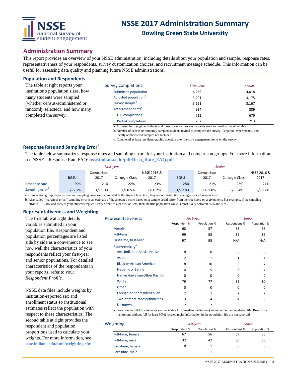

## **Administration Summary**

This report provides an overview of your NSSE administration, including details about your population and sample, response rates, representativeness of your respondents, survey customization choices, and recruitment message schedule. This information can be useful for assessing data quality and planning future NSSE administrations.

#### **Population and Respondents**

The table at right reports your institution's population sizes, how many students were sampled (whether census-administered or randomly selected), and how many completed the survey.

| Survey completions               | First-year | <b>Senior</b> |
|----------------------------------|------------|---------------|
| Submitted population             | 4,265      | 4,018         |
| Adjusted population <sup>a</sup> | 3,201      | 3,175         |
| Survey sample <sup>b</sup>       | 3,191      | 3,167         |
| Total respondents <sup>b</sup>   | 914        | 889           |
| Full completions <sup>c</sup>    | 712        | 676           |
| Partial completions              | 202        | 213           |

a. Adjusted for ineligible students and those for whom survey requests were returned as undeliverable.

b. Number of census or randomly sampled students invited to complete the survey. Targeted, experimental, and locally administered samples not included.

c. Completed at least one demographic question after the core engagement items on the survey.

#### **Response Rate and Sampling Error**<sup>a</sup>

The table below summarizes response rates and sampling errors for your institution and comparison groups. For more information see NSSE's Response Rate FAQ: **nsse.indiana.edu/pdf/Resp\_Rate\_FAQ.pdf**

| First-year  |             |                |             | <b>Senior</b> |            |                |             |
|-------------|-------------|----------------|-------------|---------------|------------|----------------|-------------|
|             | Comparison  |                | NSSE 2016 & |               | Comparison |                | NSSE 2016 & |
| <b>BGSU</b> | 2017        | Carnegie Class | 2017        | <b>BGSU</b>   | 2017       | Carnegie Class | 2017        |
| 29%         | 21%         | 22%            | 23%         | 28%           | 21%        | 23%            | 24%         |
| $+/- 2.7%$  | $+/- 1.0\%$ | $+/- 0.5%$     | $+/- 0.2%$  | $+/- 2.8%$    | $+/- 1.0%$ | $+/- 0.4%$     | +/- 0.2%    |
|             |             |                |             |               |            | .              |             |

a. Comparison group response rate and sampling error were computed at the student level (i.e., they are not institution averages) for all respondents.

b. Also called "margin of error," sampling error is an estimate of the amount a score based on a sample could differ from the true score on a given item. For example, if the sampling error is  $+/-$  5.0% and 40% of your students replied "Very often" to a particular item, then the true population value is most likely between 35% and 45%.

#### **Representativeness and Weighting**

The first table at right details variables submitted in your population file. Respondent and population percentages are listed side by side as a convenience to see how well the characteristics of your respondents reflect your first-year and senior populations. For detailed characteristics of the respondents in your reports, refer to your *Respondent Profile.*

NSSE data files include weights by institution-reported sex and enrollment status so institutional estimates reflect the population with respect to these characteristics. The second table at right provides the respondent and population proportions used to calculate your weights. For more information, see **nsse.indiana.edu/html/weighting.cfm**

| Representativeness               | First-year    |              | <b>Senior</b> |              |  |
|----------------------------------|---------------|--------------|---------------|--------------|--|
|                                  | Respondent %  | Population % | Respondent %  | Population % |  |
| Female                           | 68            | 57           | 65            | 56           |  |
| <b>Full-time</b>                 | 99            | 98           | 89            | 86           |  |
| First-time, first-year           | 97            | 95           | N/A           | N/A          |  |
| Race/ethnicity <sup>a</sup>      |               |              |               |              |  |
| Am. Indian or Alaska Native      | $\Omega$      | $\Omega$     | 0             | $\Omega$     |  |
| Asian                            | 2             | 1            | 1             | 1            |  |
| <b>Black or African American</b> | 8             | 10           | 6             | 7            |  |
| Hispanic or Latino               | 4             | 5            | 3             | 4            |  |
| Native Hawaiian/Other Pac. Isl.  | $\Omega$      | ŋ            | O             | O            |  |
| White                            | 79            | 77           | 82            | 80           |  |
| Other                            | $\Omega$      | 0            | $\Omega$      | $\Omega$     |  |
| Foreign or nonresident alien     | $\mathfrak z$ | 1            | 2             | 2            |  |
| Two or more races/ethnicities    | 3             | 4            | 4             | 3            |  |
| <b>Unknown</b>                   | 2             | 2            | 3             | 3            |  |

a. Based on the IPEDS categories (not available for Canadian institutions) submitted in the population file. Results for institutions without full (at least 90%) race/ethnicity information in the population file are not reported.

| Weighting         | First-year   |              | Senior       |              |  |
|-------------------|--------------|--------------|--------------|--------------|--|
|                   | Respondent % | Population % | Respondent % | Population % |  |
| Full-time, female | 67           | 56           | 59           | 50           |  |
| Full-time, male   | 32           | 42           | 30           | 36           |  |
| Part-time, female | 0            |              | b            | 6            |  |
| Part-time, male   |              |              | b            | 8            |  |